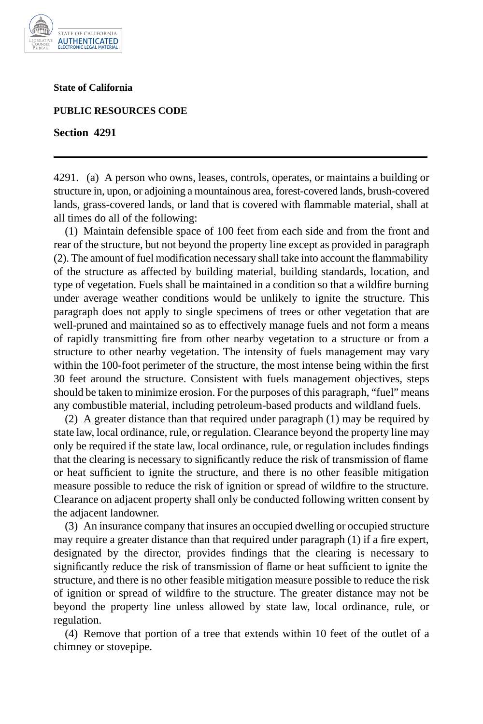

**State of California** 

**PUBLIC RESOURCES CODE** 

**Section 4291** 

4291. (a) A person who owns, leases, controls, operates, or maintains a building or structure in, upon, or adjoining a mountainous area, forest-covered lands, brush-covered lands, grass-covered lands, or land that is covered with flammable material, shall at all times do all of the following:

(1) Maintain defensible space of 100 feet from each side and from the front and rear of the structure, but not beyond the property line except as provided in paragraph (2). The amount of fuel modification necessary shall take into account the flammability of the structure as affected by building material, building standards, location, and type of vegetation. Fuels shall be maintained in a condition so that a wildfire burning under average weather conditions would be unlikely to ignite the structure. This paragraph does not apply to single specimens of trees or other vegetation that are well-pruned and maintained so as to effectively manage fuels and not form a means of rapidly transmitting fire from other nearby vegetation to a structure or from a structure to other nearby vegetation. The intensity of fuels management may vary within the 100-foot perimeter of the structure, the most intense being within the first 30 feet around the structure. Consistent with fuels management objectives, steps should be taken to minimize erosion. For the purposes of this paragraph, "fuel" means any combustible material, including petroleum-based products and wildland fuels.

(2) A greater distance than that required under paragraph (1) may be required by state law, local ordinance, rule, or regulation. Clearance beyond the property line may only be required if the state law, local ordinance, rule, or regulation includes findings that the clearing is necessary to significantly reduce the risk of transmission of flame or heat sufficient to ignite the structure, and there is no other feasible mitigation measure possible to reduce the risk of ignition or spread of wildfire to the structure. Clearance on adjacent property shall only be conducted following written consent by the adjacent landowner.

(3) An insurance company that insures an occupied dwelling or occupied structure may require a greater distance than that required under paragraph (1) if a fire expert, designated by the director, provides findings that the clearing is necessary to significantly reduce the risk of transmission of flame or heat sufficient to ignite the structure, and there is no other feasible mitigation measure possible to reduce the risk of ignition or spread of wildfire to the structure. The greater distance may not be beyond the property line unless allowed by state law, local ordinance, rule, or regulation.

(4) Remove that portion of a tree that extends within 10 feet of the outlet of a chimney or stovepipe.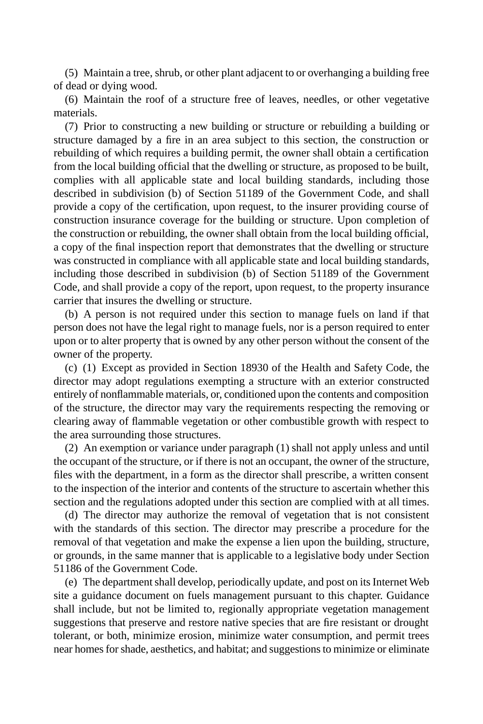(5) Maintain a tree, shrub, or other plant adjacent to or overhanging a building free of dead or dying wood.

(6) Maintain the roof of a structure free of leaves, needles, or other vegetative materials.

(7) Prior to constructing a new building or structure or rebuilding a building or structure damaged by a fire in an area subject to this section, the construction or rebuilding of which requires a building permit, the owner shall obtain a certification from the local building official that the dwelling or structure, as proposed to be built, complies with all applicable state and local building standards, including those described in subdivision (b) of Section 51189 of the Government Code, and shall provide a copy of the certification, upon request, to the insurer providing course of construction insurance coverage for the building or structure. Upon completion of the construction or rebuilding, the owner shall obtain from the local building official, a copy of the final inspection report that demonstrates that the dwelling or structure was constructed in compliance with all applicable state and local building standards, including those described in subdivision (b) of Section 51189 of the Government Code, and shall provide a copy of the report, upon request, to the property insurance carrier that insures the dwelling or structure.

(b) A person is not required under this section to manage fuels on land if that person does not have the legal right to manage fuels, nor is a person required to enter upon or to alter property that is owned by any other person without the consent of the owner of the property.

(c) (1) Except as provided in Section 18930 of the Health and Safety Code, the director may adopt regulations exempting a structure with an exterior constructed entirely of nonflammable materials, or, conditioned upon the contents and composition of the structure, the director may vary the requirements respecting the removing or clearing away of flammable vegetation or other combustible growth with respect to the area surrounding those structures.

(2) An exemption or variance under paragraph (1) shall not apply unless and until the occupant of the structure, or if there is not an occupant, the owner of the structure, files with the department, in a form as the director shall prescribe, a written consent to the inspection of the interior and contents of the structure to ascertain whether this section and the regulations adopted under this section are complied with at all times.

(d) The director may authorize the removal of vegetation that is not consistent with the standards of this section. The director may prescribe a procedure for the removal of that vegetation and make the expense a lien upon the building, structure, or grounds, in the same manner that is applicable to a legislative body under Section 51186 of the Government Code.

(e) The department shall develop, periodically update, and post on its Internet Web site a guidance document on fuels management pursuant to this chapter. Guidance shall include, but not be limited to, regionally appropriate vegetation management suggestions that preserve and restore native species that are fire resistant or drought tolerant, or both, minimize erosion, minimize water consumption, and permit trees near homes for shade, aesthetics, and habitat; and suggestions to minimize or eliminate